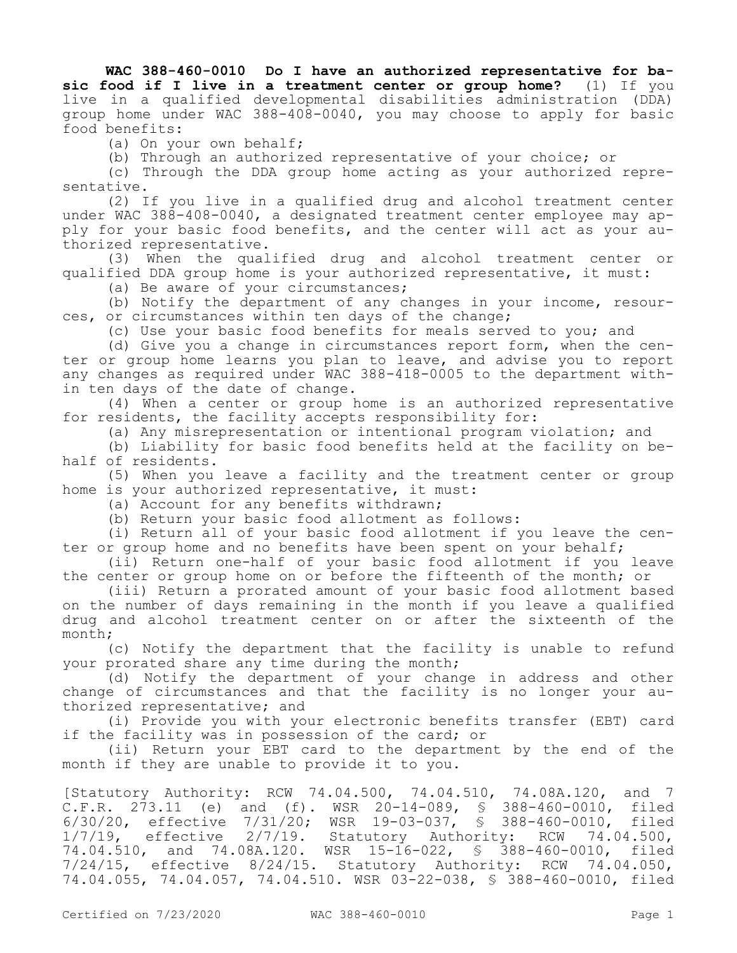**WAC 388-460-0010 Do I have an authorized representative for basic food if I live in a treatment center or group home?** (1) If you live in a qualified developmental disabilities administration (DDA) group home under WAC 388-408-0040, you may choose to apply for basic food benefits:

(a) On your own behalf;

(b) Through an authorized representative of your choice; or

(c) Through the DDA group home acting as your authorized representative.

(2) If you live in a qualified drug and alcohol treatment center under WAC 388-408-0040, a designated treatment center employee may apply for your basic food benefits, and the center will act as your authorized representative.

(3) When the qualified drug and alcohol treatment center or qualified DDA group home is your authorized representative, it must:

(a) Be aware of your circumstances;

(b) Notify the department of any changes in your income, resources, or circumstances within ten days of the change;

(c) Use your basic food benefits for meals served to you; and

(d) Give you a change in circumstances report form, when the center or group home learns you plan to leave, and advise you to report any changes as required under WAC 388-418-0005 to the department within ten days of the date of change.

(4) When a center or group home is an authorized representative for residents, the facility accepts responsibility for:

(a) Any misrepresentation or intentional program violation; and

(b) Liability for basic food benefits held at the facility on behalf of residents.

(5) When you leave a facility and the treatment center or group home is your authorized representative, it must:

(a) Account for any benefits withdrawn;

(b) Return your basic food allotment as follows:

(i) Return all of your basic food allotment if you leave the center or group home and no benefits have been spent on your behalf;

(ii) Return one-half of your basic food allotment if you leave the center or group home on or before the fifteenth of the month; or

(iii) Return a prorated amount of your basic food allotment based on the number of days remaining in the month if you leave a qualified drug and alcohol treatment center on or after the sixteenth of the month;

(c) Notify the department that the facility is unable to refund your prorated share any time during the month;

(d) Notify the department of your change in address and other change of circumstances and that the facility is no longer your authorized representative; and

(i) Provide you with your electronic benefits transfer (EBT) card if the facility was in possession of the card; or

(ii) Return your EBT card to the department by the end of the month if they are unable to provide it to you.

[Statutory Authority: RCW 74.04.500, 74.04.510, 74.08A.120, and 7 C.F.R. 273.11 (e) and (f). WSR 20-14-089, § 388-460-0010, filed 6/30/20, effective 7/31/20; WSR 19-03-037, § 388-460-0010, filed 1/7/19, effective 2/7/19. Statutory Authority: RCW 74.04.500, 74.04.510, and 74.08A.120. WSR 15-16-022, § 388-460-0010, filed 7/24/15, effective 8/24/15. Statutory Authority: RCW 74.04.050, 74.04.055, 74.04.057, 74.04.510. WSR 03-22-038, § 388-460-0010, filed